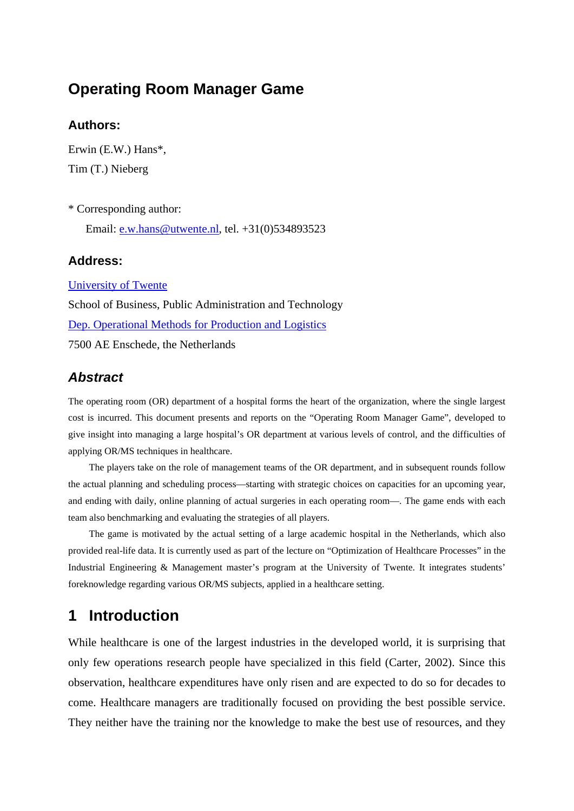## **Operating Room Manager Game**

#### **Authors:**

Erwin (E.W.) Hans\*, Tim (T.) Nieberg

\* Corresponding author: Email: [e.w.hans@utwente.nl](mailto:e.w.hans@utwente.nl), tel. +31(0)534893523

#### **Address:**

[University of Twente](http://www.utwente.nl/) School of Business, Public Administration and Technology [Dep. Operational Methods for Production and Logistics](http://www.bbt.utwente.nl/ompl) 7500 AE Enschede, the Netherlands

#### *Abstract*

The operating room (OR) department of a hospital forms the heart of the organization, where the single largest cost is incurred. This document presents and reports on the "Operating Room Manager Game", developed to give insight into managing a large hospital's OR department at various levels of control, and the difficulties of applying OR/MS techniques in healthcare.

The players take on the role of management teams of the OR department, and in subsequent rounds follow the actual planning and scheduling process—starting with strategic choices on capacities for an upcoming year, and ending with daily, online planning of actual surgeries in each operating room—. The game ends with each team also benchmarking and evaluating the strategies of all players.

The game is motivated by the actual setting of a large academic hospital in the Netherlands, which also provided real-life data. It is currently used as part of the lecture on "Optimization of Healthcare Processes" in the Industrial Engineering & Management master's program at the University of Twente. It integrates students' foreknowledge regarding various OR/MS subjects, applied in a healthcare setting.

## **1 Introduction**

While healthcare is one of the largest industries in the developed world, it is surprising that only few operations research people have specialized in this field (Carter, 2002). Since this observation, healthcare expenditures have only risen and are expected to do so for decades to come. Healthcare managers are traditionally focused on providing the best possible service. They neither have the training nor the knowledge to make the best use of resources, and they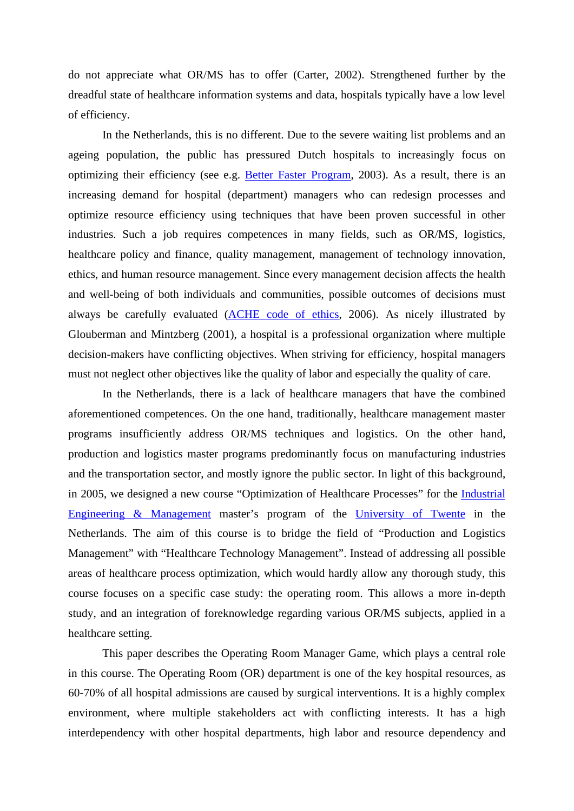do not appreciate what OR/MS has to offer (Carter, 2002). Strengthened further by the dreadful state of healthcare information systems and data, hospitals typically have a low level of efficiency.

In the Netherlands, this is no different. Due to the severe waiting list problems and an ageing population, the public has pressured Dutch hospitals to increasingly focus on optimizing their efficiency (see e.g. [Better Faster Program](http://www.snellerbeter.nl/english/), 2003). As a result, there is an increasing demand for hospital (department) managers who can redesign processes and optimize resource efficiency using techniques that have been proven successful in other industries. Such a job requires competences in many fields, such as OR/MS, logistics, healthcare policy and finance, quality management, management of technology innovation, ethics, and human resource management. Since every management decision affects the health and well-being of both individuals and communities, possible outcomes of decisions must always be carefully evaluated ([ACHE code of ethics,](http://www.ache.org/ABT_ACHE/code.cfm) 2006). As nicely illustrated by Glouberman and Mintzberg (2001), a hospital is a professional organization where multiple decision-makers have conflicting objectives. When striving for efficiency, hospital managers must not neglect other objectives like the quality of labor and especially the quality of care.

In the Netherlands, there is a lack of healthcare managers that have the combined aforementioned competences. On the one hand, traditionally, healthcare management master programs insufficiently address OR/MS techniques and logistics. On the other hand, production and logistics master programs predominantly focus on manufacturing industries and the transportation sector, and mostly ignore the public sector. In light of this background, in 2005, we designed a new course "Optimization of Healthcare Processes" for the [Industrial](http://www.bbt.utwente.nl/en/education/education-ma/iem/)  [Engineering & Management](http://www.bbt.utwente.nl/en/education/education-ma/iem/) master's program of the [University of Twente](http://www.utwente.nl/) in the Netherlands. The aim of this course is to bridge the field of "Production and Logistics Management" with "Healthcare Technology Management". Instead of addressing all possible areas of healthcare process optimization, which would hardly allow any thorough study, this course focuses on a specific case study: the operating room. This allows a more in-depth study, and an integration of foreknowledge regarding various OR/MS subjects, applied in a healthcare setting.

This paper describes the Operating Room Manager Game, which plays a central role in this course. The Operating Room (OR) department is one of the key hospital resources, as 60-70% of all hospital admissions are caused by surgical interventions. It is a highly complex environment, where multiple stakeholders act with conflicting interests. It has a high interdependency with other hospital departments, high labor and resource dependency and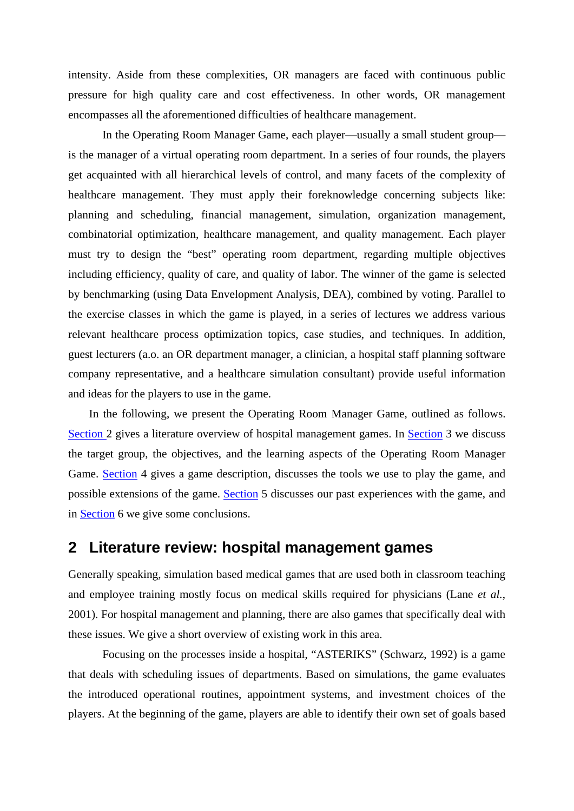<span id="page-2-0"></span>intensity. Aside from these complexities, OR managers are faced with continuous public pressure for high quality care and cost effectiveness. In other words, OR management encompasses all the aforementioned difficulties of healthcare management.

In the Operating Room Manager Game, each player—usually a small student group is the manager of a virtual operating room department. In a series of four rounds, the players get acquainted with all hierarchical levels of control, and many facets of the complexity of healthcare management. They must apply their foreknowledge concerning subjects like: planning and scheduling, financial management, simulation, organization management, combinatorial optimization, healthcare management, and quality management. Each player must try to design the "best" operating room department, regarding multiple objectives including efficiency, quality of care, and quality of labor. The winner of the game is selected by benchmarking (using Data Envelopment Analysis, DEA), combined by voting. Parallel to the exercise classes in which the game is played, in a series of lectures we address various relevant healthcare process optimization topics, case studies, and techniques. In addition, guest lecturers (a.o. an OR department manager, a clinician, a hospital staff planning software company representative, and a healthcare simulation consultant) provide useful information and ideas for the players to use in the game.

In the following, we present the Operating Room Manager Game, outlined as follows. [Section 2](#page-2-0) [gives a literature overview of hospital management games. In](#page-3-0) Sectio[n](#page-5-0) 3 [we discuss](#page-2-1)  [the target group, the objectives, and the learning aspects of the Operating Room Manager](#page-2-1)  [Game.](#page-2-1) Sectio[n](#page-16-0) [4 gives a game description, discusses the tools we use to play the game, and](#page-3-1)  [possible extensions of the game. S](#page-3-1)ectio[n](#page-16-0) 5 [discusses our past experiences with the game, and](#page-5-1)  [in](#page-5-1) Sectio[n](#page-2-1) [6 we give some conclusions.](#page-16-1) 

## <span id="page-2-1"></span>**2 Literature review: hospital management games**

Generally speaking, simulation based medical games that are used both in classroom teaching and employee training mostly focus on medical skills required for physicians (Lane *et al.*, 2001). For hospital management and planning, there are also games that specifically deal with these issues. We give a short overview of existing work in this area.

Focusing on the processes inside a hospital, "ASTERIKS" (Schwarz, 1992) is a game that deals with scheduling issues of departments. Based on simulations, the game evaluates the introduced operational routines, appointment systems, and investment choices of the players. At the beginning of the game, players are able to identify their own set of goals based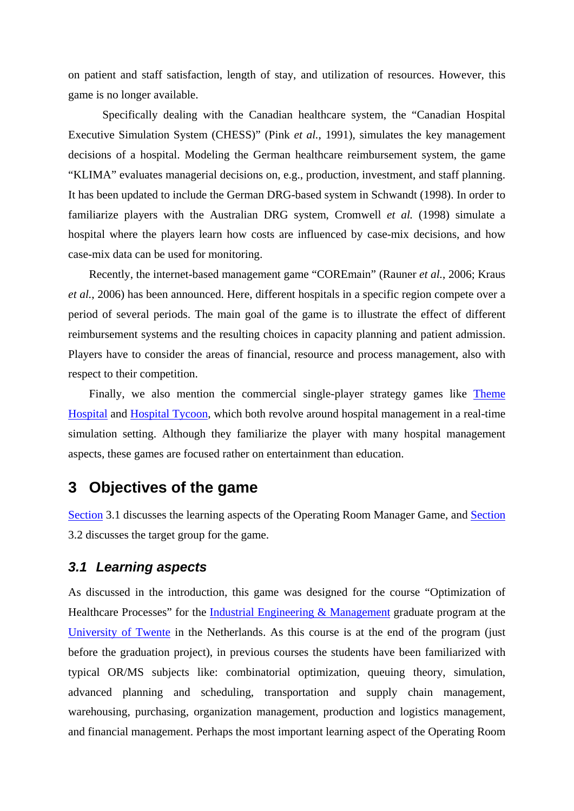<span id="page-3-0"></span>on patient and staff satisfaction, length of stay, and utilization of resources. However, this game is no longer available.

Specifically dealing with the Canadian healthcare system, the "Canadian Hospital Executive Simulation System (CHESS)" (Pink *et al.*, 1991), simulates the key management decisions of a hospital. Modeling the German healthcare reimbursement system, the game "KLIMA" evaluates managerial decisions on, e.g., production, investment, and staff planning. It has been updated to include the German DRG-based system in Schwandt (1998). In order to familiarize players with the Australian DRG system, Cromwell *et al.* (1998) simulate a hospital where the players learn how costs are influenced by case-mix decisions, and how case-mix data can be used for monitoring.

Recently, the internet-based management game "COREmain" (Rauner *et al.*, 2006; Kraus *et al.*, 2006) has been announced. Here, different hospitals in a specific region compete over a period of several periods. The main goal of the game is to illustrate the effect of different reimbursement systems and the resulting choices in capacity planning and patient admission. Players have to consider the areas of financial, resource and process management, also with respect to their competition.

Finally, we also mention the commercial single-player strategy games like Theme [Hospital](http://en.wikipedia.org/wiki/Theme_Hospital) and [Hospital Tycoon,](http://en.wikipedia.org/wiki/Hospital_Tycoon) which both revolve around hospital management in a real-time simulation setting. Although they familiarize the player with many hospital management aspects, these games are focused rather on entertainment than education.

## <span id="page-3-1"></span>**3 Objectives of the game**

[Section](#page-3-0) [3.1](#page-3-2) discusses the learning aspects of the Operating Room Manager Game, and [Section](#page-4-0) [3.2](#page-4-1) discusses the target group for the game.

#### <span id="page-3-2"></span>*3.1 Learning aspects*

As discussed in the introduction, this game was designed for the course "Optimization of Healthcare Processes" for the [Industrial Engineering & Management](http://www.bbt.utwente.nl/en/education/education-ma/iem/) graduate program at the [University of Twente](http://www.utwente.nl/) in the Netherlands. As this course is at the end of the program (just before the graduation project), in previous courses the students have been familiarized with typical OR/MS subjects like: combinatorial optimization, queuing theory, simulation, advanced planning and scheduling, transportation and supply chain management, warehousing, purchasing, organization management, production and logistics management, and financial management. Perhaps the most important learning aspect of the Operating Room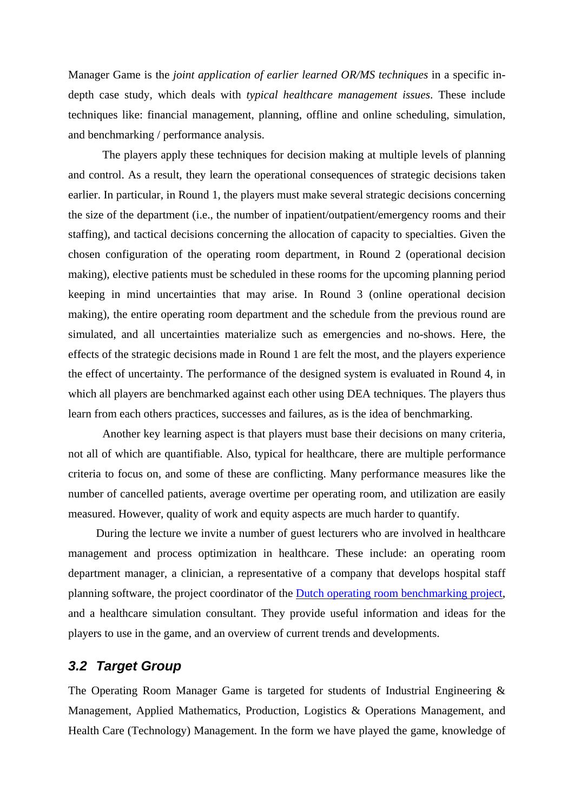<span id="page-4-0"></span>Manager Game is the *joint application of earlier learned OR/MS techniques* in a specific indepth case study, which deals with *typical healthcare management issues*. These include techniques like: financial management, planning, offline and online scheduling, simulation, and benchmarking / performance analysis.

 The players apply these techniques for decision making at multiple levels of planning and control. As a result, they learn the operational consequences of strategic decisions taken earlier. In particular, in Round 1, the players must make several strategic decisions concerning the size of the department (i.e., the number of inpatient/outpatient/emergency rooms and their staffing), and tactical decisions concerning the allocation of capacity to specialties. Given the chosen configuration of the operating room department, in Round 2 (operational decision making), elective patients must be scheduled in these rooms for the upcoming planning period keeping in mind uncertainties that may arise. In Round 3 (online operational decision making), the entire operating room department and the schedule from the previous round are simulated, and all uncertainties materialize such as emergencies and no-shows. Here, the effects of the strategic decisions made in Round 1 are felt the most, and the players experience the effect of uncertainty. The performance of the designed system is evaluated in Round 4, in which all players are benchmarked against each other using DEA techniques. The players thus learn from each others practices, successes and failures, as is the idea of benchmarking.

 Another key learning aspect is that players must base their decisions on many criteria, not all of which are quantifiable. Also, typical for healthcare, there are multiple performance criteria to focus on, and some of these are conflicting. Many performance measures like the number of cancelled patients, average overtime per operating room, and utilization are easily measured. However, quality of work and equity aspects are much harder to quantify.

During the lecture we invite a number of guest lecturers who are involved in healthcare management and process optimization in healthcare. These include: an operating room department manager, a clinician, a representative of a company that develops hospital staff planning software, the project coordinator of the [Dutch operating room benchmarking project](http://www.benchmarking-ok.nl/), and a healthcare simulation consultant. They provide useful information and ideas for the players to use in the game, and an overview of current trends and developments.

#### <span id="page-4-1"></span>*3.2 Target Group*

The Operating Room Manager Game is targeted for students of Industrial Engineering & Management, Applied Mathematics, Production, Logistics & Operations Management, and Health Care (Technology) Management. In the form we have played the game, knowledge of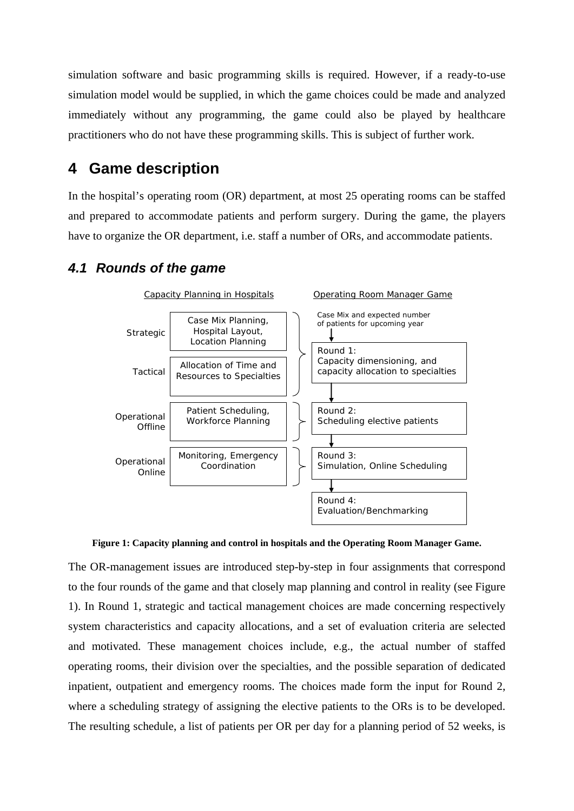<span id="page-5-0"></span>simulation software and basic programming skills is required. However, if a ready-to-use simulation model would be supplied, in which the game choices could be made and analyzed immediately without any programming, the game could also be played by healthcare practitioners who do not have these programming skills. This is subject of further work.

## <span id="page-5-1"></span>**4 Game description**

In the hospital's operating room (OR) department, at most 25 operating rooms can be staffed and prepared to accommodate patients and perform surgery. During the game, the players have to organize the OR department, i.e. staff a number of ORs, and accommodate patients.

### *4.1 Rounds of the game*



**Figure 1: Capacity planning and control in hospitals and the Operating Room Manager Game.** 

<span id="page-5-2"></span>The OR-management issues are introduced step-by-step in four assignments that correspond to the four rounds of the game and that closely map planning and control in reality (see [Figure](#page-5-2)  [1\)](#page-5-2). In Round 1, strategic and tactical management choices are made concerning respectively system characteristics and capacity allocations, and a set of evaluation criteria are selected and motivated. These management choices include, e.g., the actual number of staffed operating rooms, their division over the specialties, and the possible separation of dedicated inpatient, outpatient and emergency rooms. The choices made form the input for Round 2, where a scheduling strategy of assigning the elective patients to the ORs is to be developed. The resulting schedule, a list of patients per OR per day for a planning period of 52 weeks, is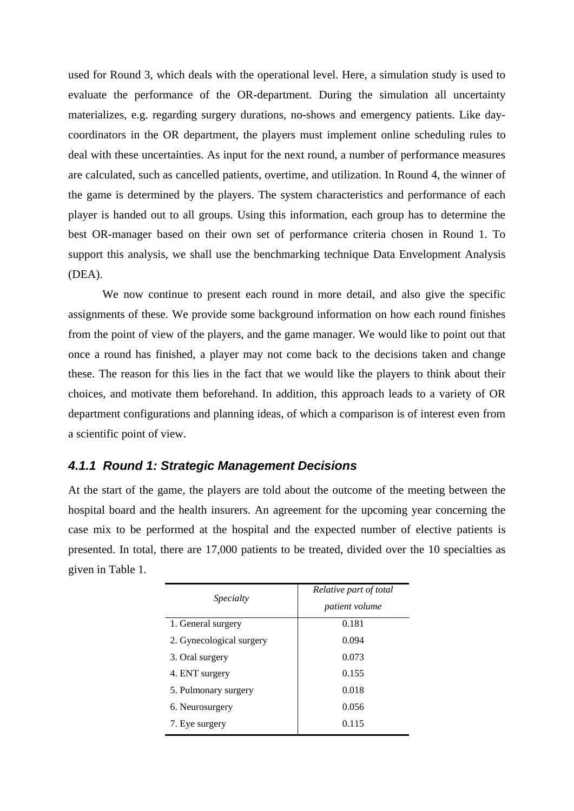used for Round 3, which deals with the operational level. Here, a simulation study is used to evaluate the performance of the OR-department. During the simulation all uncertainty materializes, e.g. regarding surgery durations, no-shows and emergency patients. Like daycoordinators in the OR department, the players must implement online scheduling rules to deal with these uncertainties. As input for the next round, a number of performance measures are calculated, such as cancelled patients, overtime, and utilization. In Round 4, the winner of the game is determined by the players. The system characteristics and performance of each player is handed out to all groups. Using this information, each group has to determine the best OR-manager based on their own set of performance criteria chosen in Round 1. To support this analysis, we shall use the benchmarking technique Data Envelopment Analysis (DEA).

We now continue to present each round in more detail, and also give the specific assignments of these. We provide some background information on how each round finishes from the point of view of the players, and the game manager. We would like to point out that once a round has finished, a player may not come back to the decisions taken and change these. The reason for this lies in the fact that we would like the players to think about their choices, and motivate them beforehand. In addition, this approach leads to a variety of OR department configurations and planning ideas, of which a comparison is of interest even from a scientific point of view.

#### *4.1.1 Round 1: Strategic Management Decisions*

At the start of the game, the players are told about the outcome of the meeting between the hospital board and the health insurers. An agreement for the upcoming year concerning the case mix to be performed at the hospital and the expected number of elective patients is presented. In total, there are 17,000 patients to be treated, divided over the 10 specialties as given in [Table 1](#page-7-0).

| Specialty                | Relative part of total<br><i>patient volume</i> |
|--------------------------|-------------------------------------------------|
| 1. General surgery       | 0.181                                           |
| 2. Gynecological surgery | 0.094                                           |
| 3. Oral surgery          | 0.073                                           |
| 4. ENT surgery           | 0.155                                           |
| 5. Pulmonary surgery     | 0.018                                           |
| 6. Neurosurgery          | 0.056                                           |
| 7. Eye surgery           | 0.115                                           |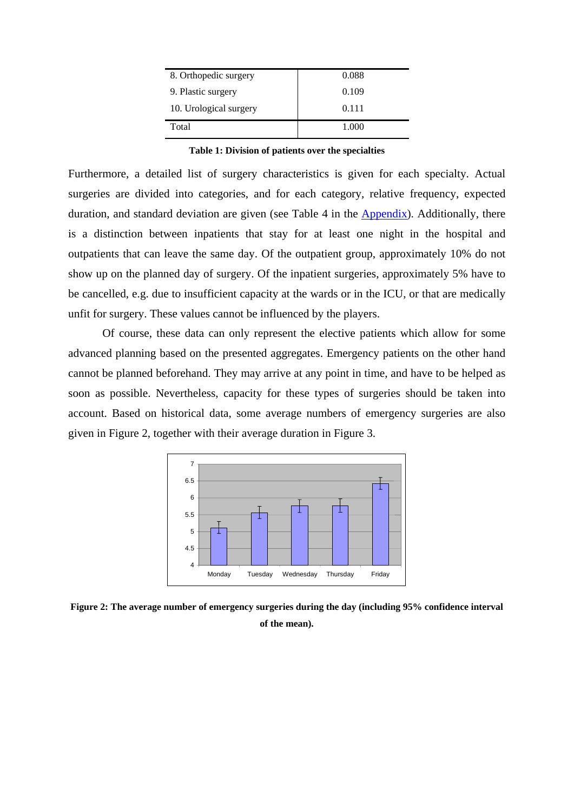| 8. Orthopedic surgery  | 0.088 |
|------------------------|-------|
| 9. Plastic surgery     | 0.109 |
| 10. Urological surgery | 0.111 |
| Total                  | 1.000 |

**Table 1: Division of patients over the specialties** 

<span id="page-7-0"></span>Furthermore, a detailed list of surgery characteristics is given for each specialty. Actual surgeries are divided into categories, and for each category, relative frequency, expected duration, and standard deviation are given (see [Table 4](#page-18-1) in the [Appendix\)](#page-18-0). Additionally, there is a distinction between inpatients that stay for at least one night in the hospital and outpatients that can leave the same day. Of the outpatient group, approximately 10% do not show up on the planned day of surgery. Of the inpatient surgeries, approximately 5% have to be cancelled, e.g. due to insufficient capacity at the wards or in the ICU, or that are medically unfit for surgery. These values cannot be influenced by the players.

Of course, these data can only represent the elective patients which allow for some advanced planning based on the presented aggregates. Emergency patients on the other hand cannot be planned beforehand. They may arrive at any point in time, and have to be helped as soon as possible. Nevertheless, capacity for these types of surgeries should be taken into account. Based on historical data, some average numbers of emergency surgeries are also given in [Figure 2](#page-7-1), together with their average duration in [Figure 3.](#page-8-0)



<span id="page-7-1"></span>**Figure 2: The average number of emergency surgeries during the day (including 95% confidence interval of the mean).**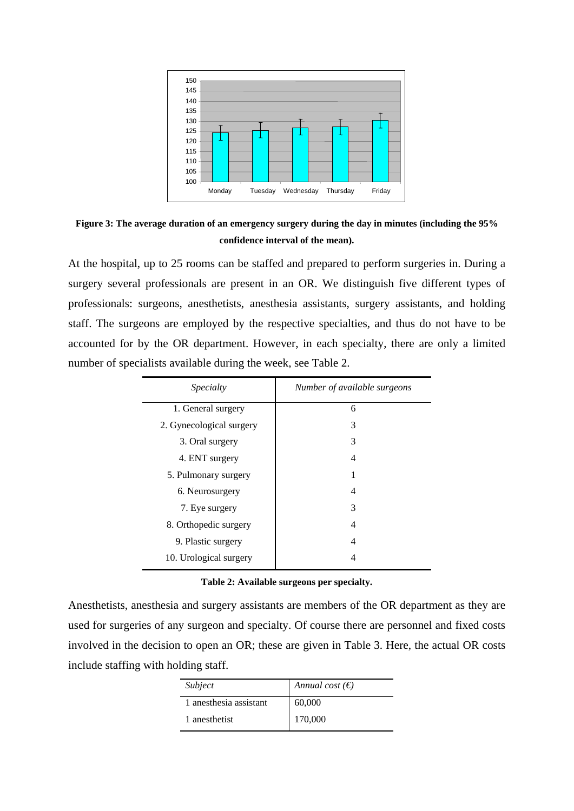

<span id="page-8-0"></span>**Figure 3: The average duration of an emergency surgery during the day in minutes (including the 95% confidence interval of the mean).** 

At the hospital, up to 25 rooms can be staffed and prepared to perform surgeries in. During a surgery several professionals are present in an OR. We distinguish five different types of professionals: surgeons, anesthetists, anesthesia assistants, surgery assistants, and holding staff. The surgeons are employed by the respective specialties, and thus do not have to be accounted for by the OR department. However, in each specialty, there are only a limited number of specialists available during the week, see [Table 2](#page-8-1).

| Specialty                | Number of available surgeons |
|--------------------------|------------------------------|
| 1. General surgery       | 6                            |
| 2. Gynecological surgery | 3                            |
| 3. Oral surgery          | 3                            |
| 4. ENT surgery           | 4                            |
| 5. Pulmonary surgery     |                              |
| 6. Neurosurgery          | 4                            |
| 7. Eye surgery           | 3                            |
| 8. Orthopedic surgery    | 4                            |
| 9. Plastic surgery       | 4                            |
| 10. Urological surgery   |                              |

<span id="page-8-1"></span>Anesthetists, anesthesia and surgery assistants are members of the OR department as they are used for surgeries of any surgeon and specialty. Of course there are personnel and fixed costs involved in the decision to open an OR; these are given in [Table 3](#page-9-0). Here, the actual OR costs include staffing with holding staff.

| Subject                | Annual cost $(\epsilon)$ |
|------------------------|--------------------------|
| 1 anesthesia assistant | 60,000                   |
| 1 anesthetist          | 170,000                  |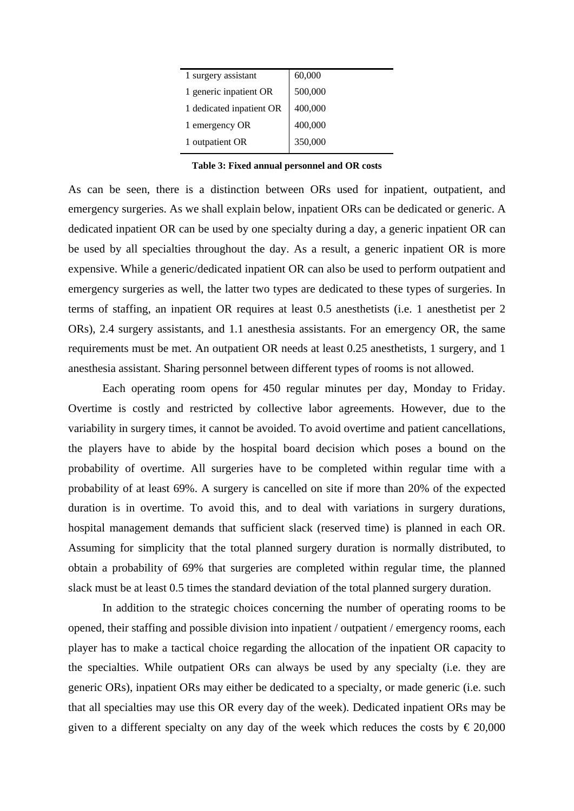| 1 surgery assistant      | 60,000  |
|--------------------------|---------|
| 1 generic inpatient OR   | 500,000 |
| 1 dedicated inpatient OR | 400,000 |
| 1 emergency OR           | 400,000 |
| 1 outpatient OR          | 350,000 |

**Table 3: Fixed annual personnel and OR costs** 

<span id="page-9-0"></span>As can be seen, there is a distinction between ORs used for inpatient, outpatient, and emergency surgeries. As we shall explain below, inpatient ORs can be dedicated or generic. A dedicated inpatient OR can be used by one specialty during a day, a generic inpatient OR can be used by all specialties throughout the day. As a result, a generic inpatient OR is more expensive. While a generic/dedicated inpatient OR can also be used to perform outpatient and emergency surgeries as well, the latter two types are dedicated to these types of surgeries. In terms of staffing, an inpatient OR requires at least 0.5 anesthetists (i.e. 1 anesthetist per 2 ORs), 2.4 surgery assistants, and 1.1 anesthesia assistants. For an emergency OR, the same requirements must be met. An outpatient OR needs at least 0.25 anesthetists, 1 surgery, and 1 anesthesia assistant. Sharing personnel between different types of rooms is not allowed.

Each operating room opens for 450 regular minutes per day, Monday to Friday. Overtime is costly and restricted by collective labor agreements. However, due to the variability in surgery times, it cannot be avoided. To avoid overtime and patient cancellations, the players have to abide by the hospital board decision which poses a bound on the probability of overtime. All surgeries have to be completed within regular time with a probability of at least 69%. A surgery is cancelled on site if more than 20% of the expected duration is in overtime. To avoid this, and to deal with variations in surgery durations, hospital management demands that sufficient slack (reserved time) is planned in each OR. Assuming for simplicity that the total planned surgery duration is normally distributed, to obtain a probability of 69% that surgeries are completed within regular time, the planned slack must be at least 0.5 times the standard deviation of the total planned surgery duration.

In addition to the strategic choices concerning the number of operating rooms to be opened, their staffing and possible division into inpatient / outpatient / emergency rooms, each player has to make a tactical choice regarding the allocation of the inpatient OR capacity to the specialties. While outpatient ORs can always be used by any specialty (i.e. they are generic ORs), inpatient ORs may either be dedicated to a specialty, or made generic (i.e. such that all specialties may use this OR every day of the week). Dedicated inpatient ORs may be given to a different specialty on any day of the week which reduces the costs by  $\epsilon$  20,000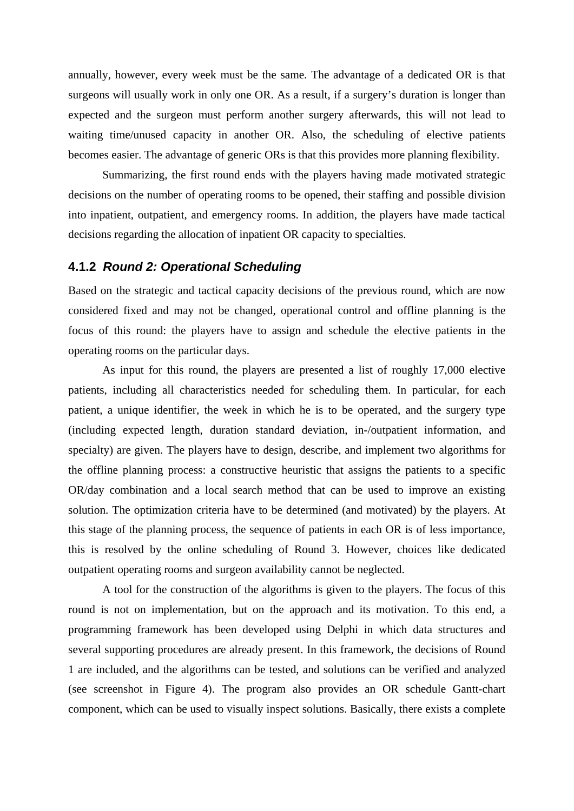annually, however, every week must be the same. The advantage of a dedicated OR is that surgeons will usually work in only one OR. As a result, if a surgery's duration is longer than expected and the surgeon must perform another surgery afterwards, this will not lead to waiting time/unused capacity in another OR. Also, the scheduling of elective patients becomes easier. The advantage of generic ORs is that this provides more planning flexibility.

Summarizing, the first round ends with the players having made motivated strategic decisions on the number of operating rooms to be opened, their staffing and possible division into inpatient, outpatient, and emergency rooms. In addition, the players have made tactical decisions regarding the allocation of inpatient OR capacity to specialties.

#### **4.1.2** *Round 2: Operational Scheduling*

Based on the strategic and tactical capacity decisions of the previous round, which are now considered fixed and may not be changed, operational control and offline planning is the focus of this round: the players have to assign and schedule the elective patients in the operating rooms on the particular days.

As input for this round, the players are presented a list of roughly 17,000 elective patients, including all characteristics needed for scheduling them. In particular, for each patient, a unique identifier, the week in which he is to be operated, and the surgery type (including expected length, duration standard deviation, in-/outpatient information, and specialty) are given. The players have to design, describe, and implement two algorithms for the offline planning process: a constructive heuristic that assigns the patients to a specific OR/day combination and a local search method that can be used to improve an existing solution. The optimization criteria have to be determined (and motivated) by the players. At this stage of the planning process, the sequence of patients in each OR is of less importance, this is resolved by the online scheduling of Round 3. However, choices like dedicated outpatient operating rooms and surgeon availability cannot be neglected.

A tool for the construction of the algorithms is given to the players. The focus of this round is not on implementation, but on the approach and its motivation. To this end, a programming framework has been developed using Delphi in which data structures and several supporting procedures are already present. In this framework, the decisions of Round 1 are included, and the algorithms can be tested, and solutions can be verified and analyzed (see screenshot in [Figure 4\)](#page-11-0). The program also provides an OR schedule Gantt-chart component, which can be used to visually inspect solutions. Basically, there exists a complete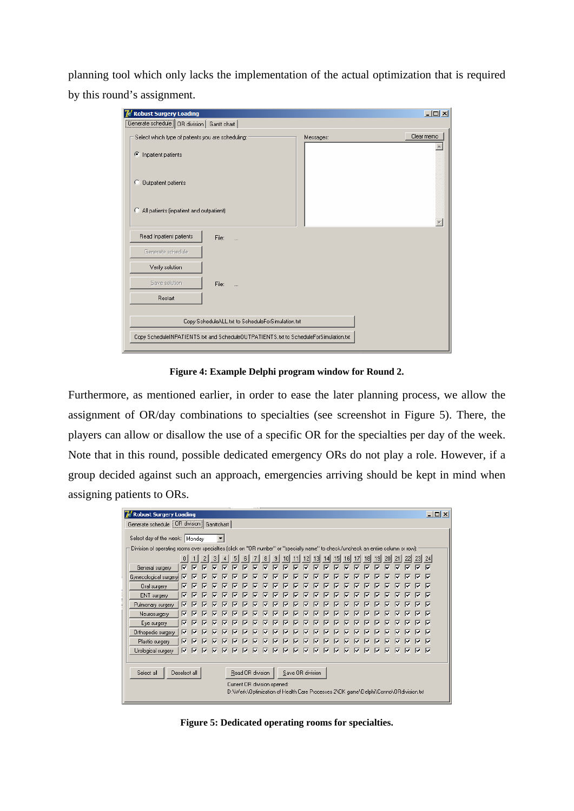planning tool which only lacks the implementation of the actual optimization that is required by this round's assignment.

| <b>7</b> Robust Surgery Loading                                                      |                                                   |           | $\Box$ D $\times$ |  |  |  |  |  |
|--------------------------------------------------------------------------------------|---------------------------------------------------|-----------|-------------------|--|--|--|--|--|
| Generate schedule   OR division   Gantt chart                                        |                                                   |           |                   |  |  |  |  |  |
| Select which type of patients you are scheduling:<br>Inpatient patients<br>Œ         |                                                   | Messages: | Clear memo        |  |  |  |  |  |
| Outpatient patients<br>O                                                             |                                                   |           |                   |  |  |  |  |  |
| All patients (inpatient and outpatient)<br>O                                         |                                                   |           |                   |  |  |  |  |  |
| Read Inpatient patients                                                              | File:                                             |           |                   |  |  |  |  |  |
| Generate schedule                                                                    |                                                   |           |                   |  |  |  |  |  |
| Verify solution                                                                      |                                                   |           |                   |  |  |  |  |  |
| Save solution                                                                        | File:                                             |           |                   |  |  |  |  |  |
| Restart                                                                              |                                                   |           |                   |  |  |  |  |  |
|                                                                                      | Copy ScheduleALL.txt to ScheduleForSimulation.txt |           |                   |  |  |  |  |  |
| Copy ScheduleINPATIENTS.txt and ScheduleOUTPATIENTS.txt to ScheduleForSimulation.txt |                                                   |           |                   |  |  |  |  |  |

**Figure 4: Example Delphi program window for Round 2.** 

<span id="page-11-0"></span>Furthermore, as mentioned earlier, in order to ease the later planning process, we allow the assignment of OR/day combinations to specialties (see screenshot in [Figure 5\)](#page-11-1). There, the players can allow or disallow the use of a specific OR for the specialties per day of the week. Note that in this round, possible dedicated emergency ORs do not play a role. However, if a group decided against such an approach, emergencies arriving should be kept in mind when assigning patients to ORs.

|                                                                                                                                   | $ \Box$ $\times$<br><b><i>C</i></b> Robust Surgery Loading |   |   |   |   |   |   |    |    |   |                 |   |                 |    |   |                 |    |   |                 |                 |   |   |    |   |    |
|-----------------------------------------------------------------------------------------------------------------------------------|------------------------------------------------------------|---|---|---|---|---|---|----|----|---|-----------------|---|-----------------|----|---|-----------------|----|---|-----------------|-----------------|---|---|----|---|----|
|                                                                                                                                   | Generate schedule [OR division] Ganttchart                 |   |   |   |   |   |   |    |    |   |                 |   |                 |    |   |                 |    |   |                 |                 |   |   |    |   |    |
|                                                                                                                                   | Select day of the week: Monday                             |   |   |   |   |   |   |    |    |   |                 |   |                 |    |   |                 |    |   |                 |                 |   |   |    |   |    |
| Division of operating rooms over specialties (click on "OR number" or "specialty name" to check/uncheck an entire column or row): |                                                            |   |   |   |   |   |   |    |    |   |                 |   |                 |    |   |                 |    |   |                 |                 |   |   |    |   |    |
|                                                                                                                                   | 0                                                          |   |   | 3 |   | 5 | 6 |    | 8  | 9 | 10 <sup>1</sup> |   | 12 <sup>1</sup> | 13 |   | 15 <sub>l</sub> | 16 |   | 18 <sup>l</sup> | 19 <sub>l</sub> |   |   |    |   | 24 |
| General surgery                                                                                                                   | ⊽                                                          | ⊽ | ⊽ | ⊽ | ⊽ | ⊽ | ⊽ | ঢ় | 1⊽ | କ | ⊽               | R | ☞               | ⊽  | ☞ | ☞               | 1⊽ | ☞ | 1⊽              | ⊽               | ⊽ | ⊽ | 1⊽ | ☞ | 1⊽ |
| Gynecological surgery                                                                                                             | ⊽                                                          | ⊽ | ⊽ | ⊽ | ⊽ | ⊽ | ⊽ | ⊽  | ⊽  | ⊽ | ⊽               | ⊽ | ⊽               | ⊽  | ⊽ | ☞               | ⊽  | ए | ⊽               | ⊽               | ⊽ | ⊽ | ⊽  | ⊽ | ╔  |
| Oral surgery                                                                                                                      | ⊽                                                          | ⊽ | ⊽ | ⊽ | ⊽ | ⊽ | ⊽ | ☞  | ⊽  | ⊽ | ⊽               | ⊽ | ⊽               | ⊽  | ⊽ | ☞               | ☞  | ⊽ | ⊽               | ⊽               | ⊽ | ⊽ | Ⅳ  | ⊽ | ☞  |
| ENT surgery                                                                                                                       | ⊽                                                          | ⊽ | ⊽ | ⊽ | ⊽ | ⊽ | ⊽ | ⊽  | ⊽  | ⊽ | ⊽               | ⊽ | ⊽               | ⊽  | ⊽ | ⊽               | ╔  | ⊽ | ⊽               | ⊽               | ⊽ | ⊽ |    | ☞ | ╔  |
| Pulmonary surgery                                                                                                                 | ⊽                                                          | ⊽ | ⊽ | ⊽ | ⊽ | ⊽ | ⊽ | Ⅳ  | ⊽  | ⊽ | ⊽               | ⊽ | ⊽               | ⊽  | ⊽ | ⊽               | ⊽  | ⊽ | ⊽               | ⊽               | ⊽ | ⊽ | ⊽  | ⊽ | ☞  |
| Neurosurgery                                                                                                                      | ⊽                                                          | ⊽ | ⊽ | ⊽ | ⊽ | ⊽ | ⊽ | M  | ⊽  | ⊽ | ⊽               | ⊽ | ⊽               | ⊽  | ⊽ | M               | ⊽  | ⊽ | ए               | ⊽               | ⊽ | ⊽ | ⊽  | M | ⊽  |
| Eye surgery                                                                                                                       | ⊽                                                          | ⊽ | ⊽ | ⊽ | ⊽ | ⊽ | ⊽ | ☞  | ⊽  | ⊽ | ⊽               | ⊽ | ⊽               | ⊽  | ⊽ | ⊽               | ☞  | ⊽ | ⊽               | ⊽               | ⊽ | ⊽ | ⊽  | ⊽ | ⊽  |
| Orthopedic surgery                                                                                                                | ⊽                                                          | ⊽ | v | ⊽ | ⊽ | ⊽ |   | ⊽  | ⊽  | ⊽ | ⊽               | ⊽ | ⊽               | ⊽  | ⊽ | ⊽               | ⊽  | ⊽ | ⊽               | ⊽               | ⊽ |   |    |   | ⊽  |
| Plastic surgery                                                                                                                   | ⊽                                                          | ⊽ | ⊽ | ⊽ | ⊽ | ⊽ | ⊽ | ☞  | ⊽  | ⊽ | ⊽               | ⊽ | ⊽               | ⊽  | ⊽ | ⊽               | ☞  | ⊽ | ⊽               | ⊽               | ⊽ | ⊽ | ⊽  | ⊽ | ⊽  |
| Urological surgery                                                                                                                | ⊽                                                          | ⊽ | ⊽ | ⊽ | ⊽ | ☞ | ⊽ | ⊽  | R  | R | ⊽               | ⊽ | ⊽               | 1⊽ | ⊽ | ☞               | R  | ⊽ | ⊽               | ⊽               | ⊽ | ⊽ | ⊽  | ⊽ | ا⊽ |
|                                                                                                                                   |                                                            |   |   |   |   |   |   |    |    |   |                 |   |                 |    |   |                 |    |   |                 |                 |   |   |    |   |    |
| Select all<br>Read OR division<br>Deselect all<br>Save OR division                                                                |                                                            |   |   |   |   |   |   |    |    |   |                 |   |                 |    |   |                 |    |   |                 |                 |   |   |    |   |    |
| Current OR division opened:                                                                                                       |                                                            |   |   |   |   |   |   |    |    |   |                 |   |                 |    |   |                 |    |   |                 |                 |   |   |    |   |    |
| D:\\Werk\Optimization of Health Care Processes 2\OK game\Delphi\Conno\ORdivision.txt                                              |                                                            |   |   |   |   |   |   |    |    |   |                 |   |                 |    |   |                 |    |   |                 |                 |   |   |    |   |    |

<span id="page-11-1"></span>**Figure 5: Dedicated operating rooms for specialties.**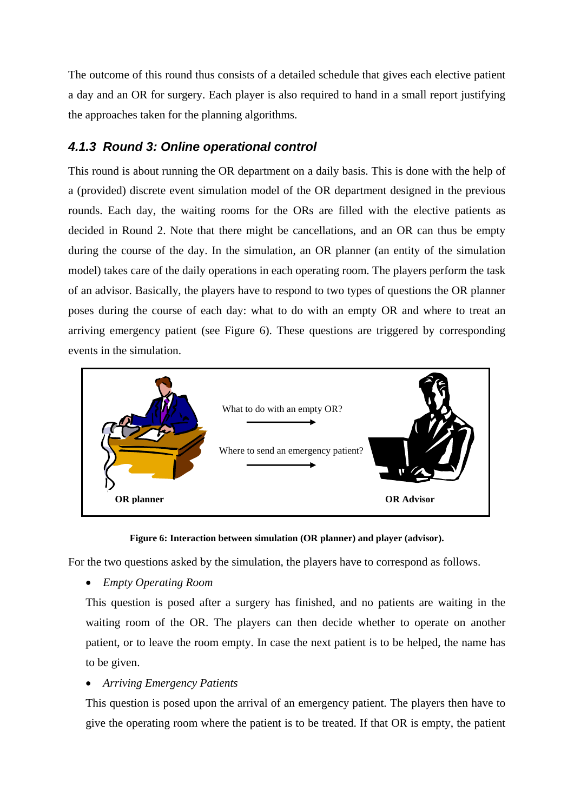The outcome of this round thus consists of a detailed schedule that gives each elective patient a day and an OR for surgery. Each player is also required to hand in a small report justifying the approaches taken for the planning algorithms.

#### *4.1.3 Round 3: Online operational control*

This round is about running the OR department on a daily basis. This is done with the help of a (provided) discrete event simulation model of the OR department designed in the previous rounds. Each day, the waiting rooms for the ORs are filled with the elective patients as decided in Round 2. Note that there might be cancellations, and an OR can thus be empty during the course of the day. In the simulation, an OR planner (an entity of the simulation model) takes care of the daily operations in each operating room. The players perform the task of an advisor. Basically, the players have to respond to two types of questions the OR planner poses during the course of each day: what to do with an empty OR and where to treat an arriving emergency patient (see [Figure 6](#page-12-0)). These questions are triggered by corresponding events in the simulation.



**Figure 6: Interaction between simulation (OR planner) and player (advisor).** 

<span id="page-12-0"></span>For the two questions asked by the simulation, the players have to correspond as follows.

• *Empty Operating Room* 

This question is posed after a surgery has finished, and no patients are waiting in the waiting room of the OR. The players can then decide whether to operate on another patient, or to leave the room empty. In case the next patient is to be helped, the name has to be given.

#### • *Arriving Emergency Patients*

This question is posed upon the arrival of an emergency patient. The players then have to give the operating room where the patient is to be treated. If that OR is empty, the patient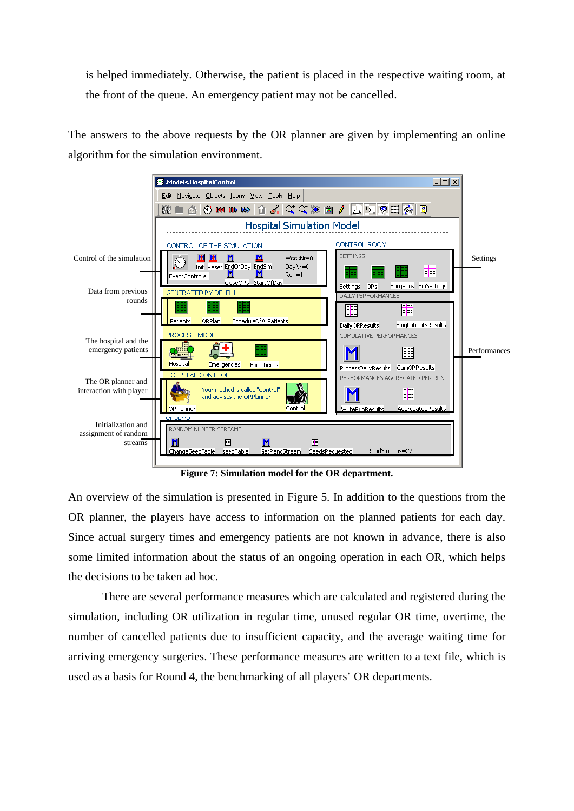is helped immediately. Otherwise, the patient is placed in the respective waiting room, at the front of the queue. An emergency patient may not be cancelled.

The answers to the above requests by the OR planner are given by implementing an online algorithm for the simulation environment.



**Figure 7: Simulation model for the OR department.** 

An overview of the simulation is presented in Figure 5. In addition to the questions from the OR planner, the players have access to information on the planned patients for each day. Since actual surgery times and emergency patients are not known in advance, there is also some limited information about the status of an ongoing operation in each OR, which helps the decisions to be taken ad hoc.

 There are several performance measures which are calculated and registered during the simulation, including OR utilization in regular time, unused regular OR time, overtime, the number of cancelled patients due to insufficient capacity, and the average waiting time for arriving emergency surgeries. These performance measures are written to a text file, which is used as a basis for Round 4, the benchmarking of all players' OR departments.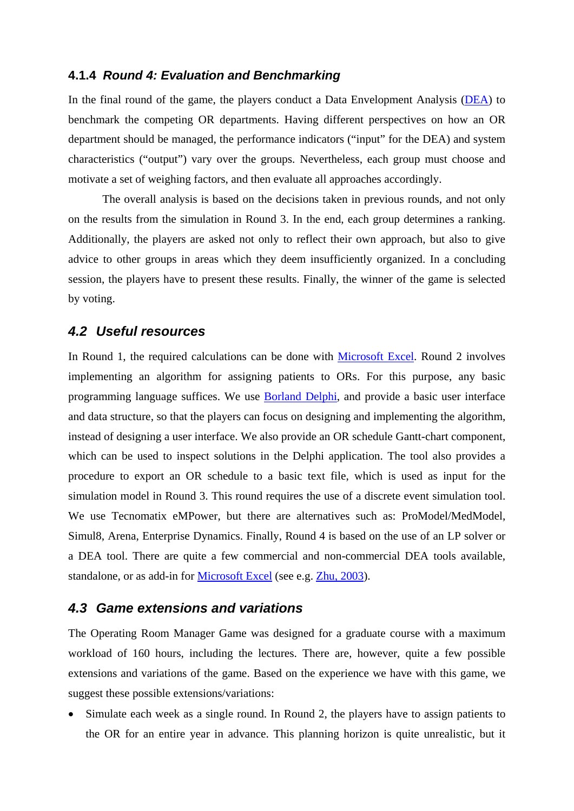#### **4.1.4** *Round 4: Evaluation and Benchmarking*

In the final round of the game, the players conduct a Data Envelopment Analysis [\(DEA\)](http://www.deazone.com/bibliography/index.htm) to benchmark the competing OR departments. Having different perspectives on how an OR department should be managed, the performance indicators ("input" for the DEA) and system characteristics ("output") vary over the groups. Nevertheless, each group must choose and motivate a set of weighing factors, and then evaluate all approaches accordingly.

 The overall analysis is based on the decisions taken in previous rounds, and not only on the results from the simulation in Round 3. In the end, each group determines a ranking. Additionally, the players are asked not only to reflect their own approach, but also to give advice to other groups in areas which they deem insufficiently organized. In a concluding session, the players have to present these results. Finally, the winner of the game is selected by voting.

#### *4.2 Useful resources*

In Round 1, the required calculations can be done with [Microsoft Excel.](http://en.wikipedia.org/wiki/Microsoft_Excel) Round 2 involves implementing an algorithm for assigning patients to ORs. For this purpose, any basic programming language suffices. We use [Borland Delphi,](http://en.wikipedia.org/wiki/Borland_Delphi) and provide a basic user interface and data structure, so that the players can focus on designing and implementing the algorithm, instead of designing a user interface. We also provide an OR schedule Gantt-chart component, which can be used to inspect solutions in the Delphi application. The tool also provides a procedure to export an OR schedule to a basic text file, which is used as input for the simulation model in Round 3. This round requires the use of a discrete event simulation tool. We use Tecnomatix eMPower, but there are alternatives such as: ProModel/MedModel, Simul8, Arena, Enterprise Dynamics. Finally, Round 4 is based on the use of an LP solver or a DEA tool. There are quite a few commercial and non-commercial DEA tools available, standalone, or as add-in for [Microsoft Excel](http://en.wikipedia.org/wiki/Microsoft_Excel) (see e.g. [Zhu, 2003](http://www.deafrontier.com/)).

#### *4.3 Game extensions and variations*

The Operating Room Manager Game was designed for a graduate course with a maximum workload of 160 hours, including the lectures. There are, however, quite a few possible extensions and variations of the game. Based on the experience we have with this game, we suggest these possible extensions/variations:

Simulate each week as a single round. In Round 2, the players have to assign patients to the OR for an entire year in advance. This planning horizon is quite unrealistic, but it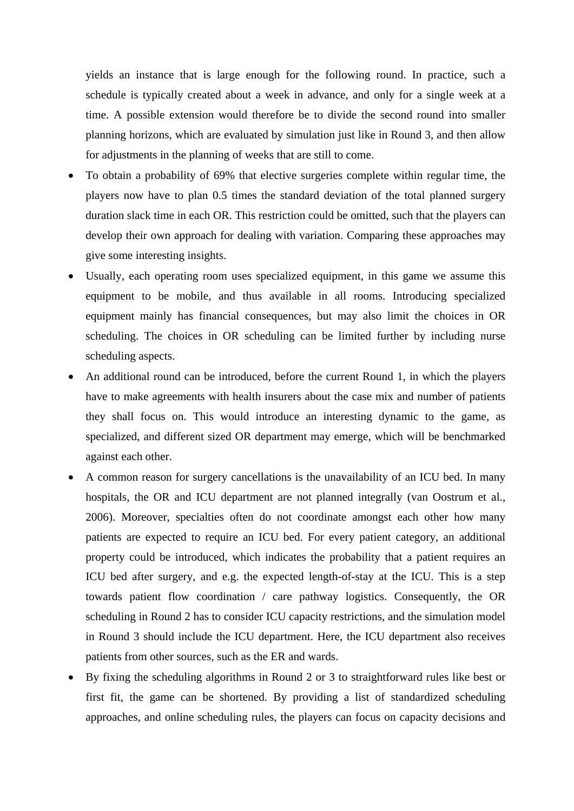yields an instance that is large enough for the following round. In practice, such a schedule is typically created about a week in advance, and only for a single week at a time. A possible extension would therefore be to divide the second round into smaller planning horizons, which are evaluated by simulation just like in Round 3, and then allow for adjustments in the planning of weeks that are still to come.

- To obtain a probability of 69% that elective surgeries complete within regular time, the players now have to plan 0.5 times the standard deviation of the total planned surgery duration slack time in each OR. This restriction could be omitted, such that the players can develop their own approach for dealing with variation. Comparing these approaches may give some interesting insights.
- Usually, each operating room uses specialized equipment, in this game we assume this equipment to be mobile, and thus available in all rooms. Introducing specialized equipment mainly has financial consequences, but may also limit the choices in OR scheduling. The choices in OR scheduling can be limited further by including nurse scheduling aspects.
- An additional round can be introduced, before the current Round 1, in which the players have to make agreements with health insurers about the case mix and number of patients they shall focus on. This would introduce an interesting dynamic to the game, as specialized, and different sized OR department may emerge, which will be benchmarked against each other.
- A common reason for surgery cancellations is the unavailability of an ICU bed. In many hospitals, the OR and ICU department are not planned integrally (van Oostrum et al., 2006). Moreover, specialties often do not coordinate amongst each other how many patients are expected to require an ICU bed. For every patient category, an additional property could be introduced, which indicates the probability that a patient requires an ICU bed after surgery, and e.g. the expected length-of-stay at the ICU. This is a step towards patient flow coordination / care pathway logistics. Consequently, the OR scheduling in Round 2 has to consider ICU capacity restrictions, and the simulation model in Round 3 should include the ICU department. Here, the ICU department also receives patients from other sources, such as the ER and wards.
- By fixing the scheduling algorithms in Round 2 or 3 to straightforward rules like best or first fit, the game can be shortened. By providing a list of standardized scheduling approaches, and online scheduling rules, the players can focus on capacity decisions and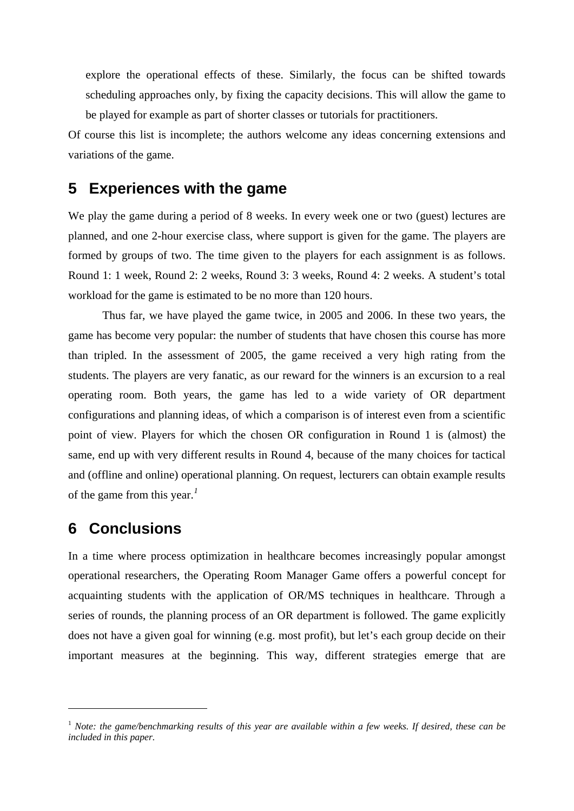<span id="page-16-0"></span>explore the operational effects of these. Similarly, the focus can be shifted towards scheduling approaches only, by fixing the capacity decisions. This will allow the game to be played for example as part of shorter classes or tutorials for practitioners.

Of course this list is incomplete; the authors welcome any ideas concerning extensions and variations of the game.

## <span id="page-16-1"></span>**5 Experiences with the game**

We play the game during a period of 8 weeks. In every week one or two (guest) lectures are planned, and one 2-hour exercise class, where support is given for the game. The players are formed by groups of two. The time given to the players for each assignment is as follows. Round 1: 1 week, Round 2: 2 weeks, Round 3: 3 weeks, Round 4: 2 weeks. A student's total workload for the game is estimated to be no more than 120 hours.

Thus far, we have played the game twice, in 2005 and 2006. In these two years, the game has become very popular: the number of students that have chosen this course has more than tripled. In the assessment of 2005, the game received a very high rating from the students. The players are very fanatic, as our reward for the winners is an excursion to a real operating room. Both years, the game has led to a wide variety of OR department configurations and planning ideas, of which a comparison is of interest even from a scientific point of view. Players for which the chosen OR configuration in Round 1 is (almost) the same, end up with very different results in Round 4, because of the many choices for tactical and (offline and online) operational planning. On request, lecturers can obtain example results of the game from this year.*[1](#page-16-2)*

### **6 Conclusions**

1

In a time where process optimization in healthcare becomes increasingly popular amongst operational researchers, the Operating Room Manager Game offers a powerful concept for acquainting students with the application of OR/MS techniques in healthcare. Through a series of rounds, the planning process of an OR department is followed. The game explicitly does not have a given goal for winning (e.g. most profit), but let's each group decide on their important measures at the beginning. This way, different strategies emerge that are

<span id="page-16-2"></span><sup>&</sup>lt;sup>1</sup> *Note: the game/benchmarking results of this year are available within a few weeks. If desired, these can be included in this paper.*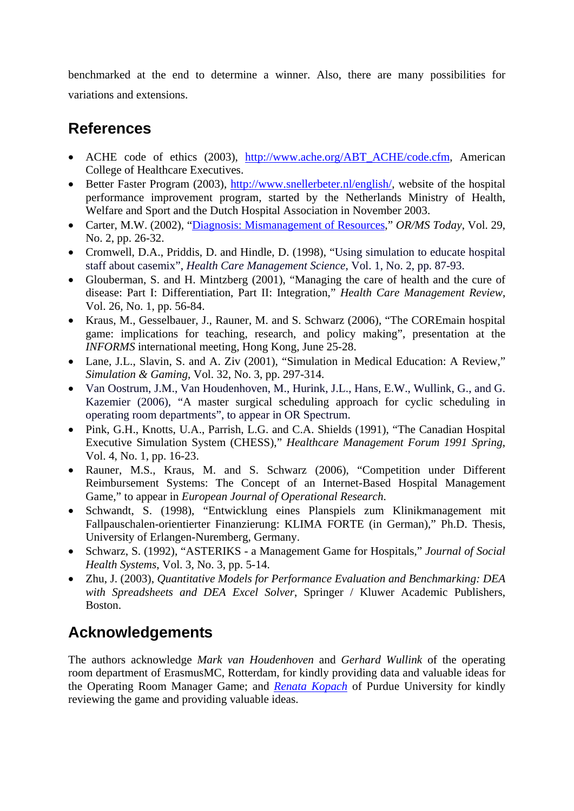benchmarked at the end to determine a winner. Also, there are many possibilities for variations and extensions.

## **References**

- ACHE code of ethics (2003), [http://www.ache.org/ABT\\_ACHE/code.cfm,](http://www.ache.org/ABT_ACHE/code.cfm) American College of Healthcare Executives.
- Better Faster Program (2003), [http://www.snellerbeter.nl/english/,](http://www.snellerbeter.nl/english/) website of the hospital performance improvement program, started by the Netherlands Ministry of Health, Welfare and Sport and the Dutch Hospital Association in November 2003.
- Carter, M.W. (2002), ["Diagnosis: Mismanagement of Resources,](http://www.lionhrtpub.com/orms/orms-4-02/frmismanagement.html)" *OR/MS Today*, Vol. 29, No. 2, pp. 26-32.
- Cromwell, D.A., Priddis, D. and Hindle, D. (1998), "Using simulation to educate hospital staff about casemix", *Health Care Management Science*, Vol. 1, No. 2, pp. 87-93.
- Glouberman, S. and H. Mintzberg (2001), "Managing the care of health and the cure of disease: Part I: Differentiation, Part II: Integration," *Health Care Management Review*, Vol. 26, No. 1, pp. 56-84.
- Kraus, M., Gesselbauer, J., Rauner, M. and S. Schwarz (2006), "The COREmain hospital game: implications for teaching, research, and policy making", presentation at the *INFORMS* international meeting, Hong Kong, June 25-28.
- Lane, J.L., Slavin, S. and A. Ziv (2001), "Simulation in Medical Education: A Review," *Simulation & Gaming*, Vol. 32, No. 3, pp. 297-314.
- Van Oostrum, J.M., Van Houdenhoven, M., Hurink, J.L., Hans, E.W., Wullink, G., and G. Kazemier (2006), "A master surgical scheduling approach for cyclic scheduling in operating room departments", to appear in OR Spectrum.
- Pink, G.H., Knotts, U.A., Parrish, L.G. and C.A. Shields (1991), "The Canadian Hospital Executive Simulation System (CHESS)," *Healthcare Management Forum 1991 Spring*, Vol. 4, No. 1, pp. 16-23.
- Rauner, M.S., Kraus, M. and S. Schwarz (2006), "Competition under Different Reimbursement Systems: The Concept of an Internet-Based Hospital Management Game," to appear in *European Journal of Operational Research*.
- Schwandt, S. (1998), "Entwicklung eines Planspiels zum Klinikmanagement mit Fallpauschalen-orientierter Finanzierung: KLIMA FORTE (in German)," Ph.D. Thesis, University of Erlangen-Nuremberg, Germany.
- Schwarz, S. (1992), "ASTERIKS a Management Game for Hospitals," *Journal of Social Health Systems*, Vol. 3, No. 3, pp. 5-14.
- Zhu, J. (2003), *Quantitative Models for Performance Evaluation and Benchmarking: DEA with Spreadsheets and DEA Excel Solver*, Springer / Kluwer Academic Publishers, Boston.

## **Acknowledgements**

The authors acknowledge *Mark van Houdenhoven* and *Gerhard Wullink* of the operating room department of ErasmusMC, Rotterdam, for kindly providing data and valuable ideas for the Operating Room Manager Game; and *[Renata Kopach](https://engineering.purdue.edu/IE/AboutUs/Students/Renata)* of Purdue University for kindly reviewing the game and providing valuable ideas.